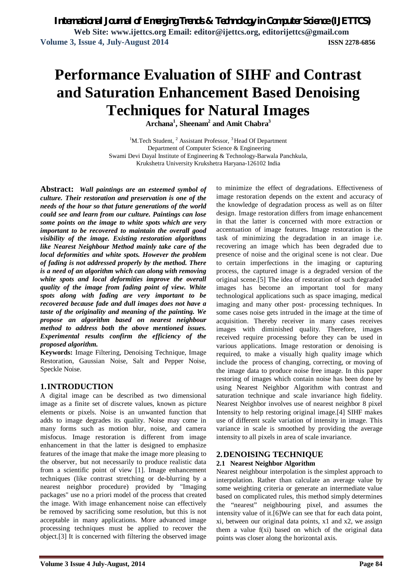# **Performance Evaluation of SIHF and Contrast and Saturation Enhancement Based Denoising Techniques for Natural Images**

**Archana<sup>1</sup> , Sheenam<sup>2</sup> and Amit Chabra<sup>3</sup>**

 $1^1$ M.Tech Student,  $2^1$ Assistant Professor,  $3^1$ Head Of Department Department of Computer Science & Engineering Swami Devi Dayal Institute of Engineering & Technology-Barwala Panchkula, Krukshetra University Krukshetra Haryana-126102 India

**Abstract:** *Wall paintings are an esteemed symbol of culture. Their restoration and preservation is one of the needs of the hour so that future generations of the world could see and learn from our culture. Paintings can lose some points on the image to white spots which are very important to be recovered to maintain the overall good visibility of the image. Existing restoration algorithms like Nearest Neighbour Method mainly take care of the local deformities and white spots. However the problem of fading is not addressed properly by the method. There is a need of an algorithm which can along with removing white spots and local deformities improve the overall quality of the image from fading point of view. White spots along with fading are very important to be recovered because fade and dull images does not have a taste of the originality and meaning of the painting. We propose an algorithm based on nearest neighbour method to address both the above mentioned issues. Experimental results confirm the efficiency of the proposed algorithm.*

**Keywords:** Image Filtering, Denoising Technique, Image Restoration, Gaussian Noise, Salt and Pepper Noise, Speckle Noise.

# **1.INTRODUCTION**

A digital image can be described as two dimensional image as a finite set of discrete values, known as picture elements or pixels. Noise is an unwanted function that adds to image degrades its quality. Noise may come in many forms such as motion blur, noise, and camera misfocus. Image restoration is different from image enhancement in that the latter is designed to emphasize features of the image that make the image more pleasing to the observer, but not necessarily to produce realistic data from a scientific point of view [1]. Image enhancement techniques (like contrast stretching or de-blurring by a nearest neighbor procedure) provided by "Imaging packages" use no a priori model of the process that created the image. With image enhancement noise can effectively be removed by sacrificing some resolution, but this is not acceptable in many applications. More advanced image processing techniques must be applied to recover the object.[3] It is concerned with filtering the observed image to minimize the effect of degradations. Effectiveness of image restoration depends on the extent and accuracy of the knowledge of degradation process as well as on filter design. Image restoration differs from image enhancement in that the latter is concerned with more extraction or accentuation of image features. Image restoration is the task of minimizing the degradation in an image i.e. recovering an image which has been degraded due to presence of noise and the original scene is not clear. Due to certain imperfections in the imaging or capturing process, the captured image is a degraded version of the original scene.[5] The idea of restoration of such degraded images has become an important tool for many technological applications such as space imaging, medical imaging and many other post- processing techniques. In some cases noise gets intruded in the image at the time of acquisition. Thereby receiver in many cases receives images with diminished quality. Therefore, images received require processing before they can be used in various applications. Image restoration or denoising is required, to make a visually high quality image which include the process of changing, correcting, or moving of the image data to produce noise free image. In this paper restoring of images which contain noise has been done by using Nearest Neighbor Algorithm with contrast and saturation technique and scale invariance high fidelity. Nearest Neighbor involves use of nearest neighbor 8 pixel Intensity to help restoring original image.[4] SIHF makes use of different scale variation of intensity in image. This variance in scale is smoothed by providing the average intensity to all pixels in area of scale invariance.

## **2.DENOISING TECHNIQUE**

## **2.1 Nearest Neighbor Algorithm**

Nearest neighbour interpolation is the simplest approach to interpolation. Rather than calculate an average value by some weighting criteria or generate an intermediate value based on complicated rules, this method simply determines the "nearest" neighbouring pixel, and assumes the intensity value of it.[6]We can see that for each data point, xi, between our original data points, x1 and x2, we assign them a value f(xi) based on which of the original data points was closer along the horizontal axis.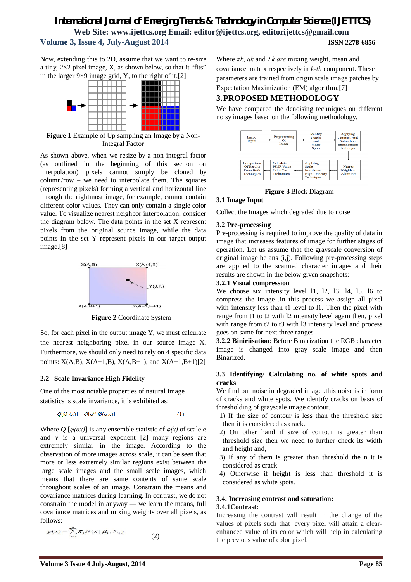# *International Journal of Emerging Trends & Technology in Computer Science (IJETTCS)* **Web Site: www.ijettcs.org Email: editor@ijettcs.org, editorijettcs@gmail.com Volume 3, Issue 4, July-August 2014 ISSN 2278-6856**

Now, extending this to 2D, assume that we want to re-size a tiny,  $2\times 2$  pixel image, X, as shown below, so that it "fits"



**Figure 1** Example of Up sampling an Image by a Non-Integral Factor

As shown above, when we resize by a non-integral factor (as outlined in the beginning of this section on interpolation) pixels cannot simply be cloned by column/row – we need to interpolate them. The squares (representing pixels) forming a vertical and horizontal line through the rightmost image, for example, cannot contain different color values. They can only contain a single color value. To visualize nearest neighbor interpolation, consider the diagram below. The data points in the set X represent pixels from the original source image, while the data points in the set Y represent pixels in our target output image.[8]



**Figure 2** Coordinate System

So, for each pixel in the output image Y, we must calculate the nearest neighboring pixel in our source image X. Furthermore, we should only need to rely on 4 specific data points:  $X(A,B)$ ,  $X(A+1,B)$ ,  $X(A,B+1)$ , and  $X(A+1,B+1)[2]$ 

## **2.2 Scale Invariance High Fidelity**

One of the most notable properties of natural image statistics is scale invariance, it is exhibited as:

$$
Q[Q(x)] = Q[\alpha^{\varpi} Q(\alpha x)] \tag{1}
$$

Where  $Q$  [ $\varphi$ ( $\alpha$ x)] is any ensemble statistic of  $\varphi$ (x) of scale  $\alpha$ and  $\nu$  is a universal exponent [2] many regions are extremely similar in the image. According to the observation of more images across scale, it can be seen that more or less extremely similar regions exist between the large scale images and the small scale images, which means that there are same contents of same scale throughout scales of an image. Constrain the means and covariance matrices during learning. In contrast, we do not constrain the model in anyway — we learn the means, full covariance matrices and mixing weights over all pixels, as follows:

$$
p(x) = \sum_{k=1}^{n} \pi_k N(x | \mu_k, \Sigma_k)
$$
 (2)

Where *πk*, *μk* and *Σk are* mixing weight, mean and covariance matrix respectively in *k-th* component. These parameters are trained from origin scale image patches by Expectation Maximization (EM) algorithm.[7]

# **3.PROPOSED METHODOLOGY**

We have compared the denoising techniques on different noisy images based on the following methodology.



## **Figure 3** Block Diagram

# **3.1 Image Input**

Collect the Images which degraded due to noise.

#### **3.2 Pre-processing**

Pre-processing is required to improve the quality of data in image that increases features of image for further stages of operation. Let us assume that the grayscale conversion of original image be ans (i,j). Following pre-processing steps are applied to the scanned character images and their results are shown in the below given snapshots:

#### **3.2.1 Visual compression**

We choose six intensity level 11, 12, 13, 14, 15, 16 to compress the image .in this process we assign all pixel with intensity less than t1 level to l1. Then the pixel with range from t1 to t2 with l2 intensity level again then, pixel with range from t2 to t3 with 13 intensity level and process goes on same for next three ranges

**3.2.2 Biniriisation**: Before Binarization the RGB character image is changed into gray scale image and then Binarized.

#### **3.3 Identifying/ Calculating no. of white spots and cracks**

We find out noise in degraded image .this noise is in form of cracks and white spots. We identify cracks on basis of thresholding of grayscale image contour.

- 1) If the size of contour is less than the threshold size then it is considered as crack.
- 2) On other hand if size of contour is greater than threshold size then we need to further check its width and height and,
- 3) If any of them is greater than threshold the n it is considered as crack
- 4) Otherwise if height is less than threshold it is considered as white spots.

#### **3.4. Increasing contrast and saturation: 3.4.1Contrast:**

Increasing the contrast will result in the change of the values of pixels such that every pixel will attain a clearenhanced value of its color which will help in calculating the previous value of color pixel.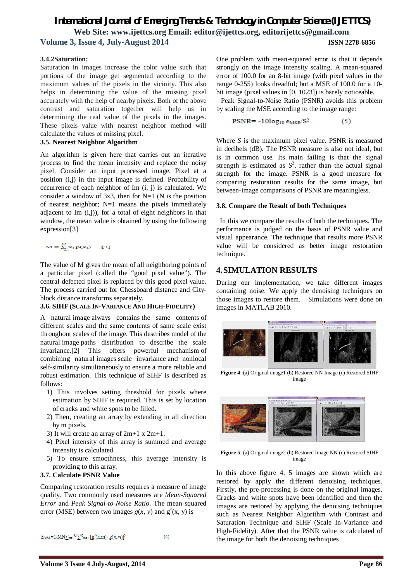# *International Journal of Emerging Trends & Technology in Computer Science (IJETTCS)* **Web Site: www.ijettcs.org Email: editor@ijettcs.org, editorijettcs@gmail.com Volume 3, Issue 4, July-August 2014 ISSN 2278-6856**

#### **3.4.2Saturation:**

Saturation in images increase the color value such that portions of the image get segmented according to the maximum values of the pixels in the vicinity. This also helps in determining the value of the missing pixel accurately with the help of nearby pixels. Both of the above contrast and saturation together will help us in determining the real value of the pixels in the images. These pixels value with nearest neighbor method will calculate the values of missing pixel.

#### **3.5. Nearest Neighbor Algorithm**

An algorithm is given here that carries out an iterative process to find the mean intensity and replace the noisy pixel. Consider an input processed image. Pixel at a position (i,j) in the input image is defined. Probability of occurrence of each neighbor of Im (i, j) is calculated. We consider a window of  $3x3$ , then for N=1 (N is the position of nearest neighbor; N=1 means the pixels immediately adjacent to Im (i,j)), for a total of eight neighbors in that window, the mean value is obtained by using the following expression[3]

 $M = \sum_{i=1}^{N} x_i p(x_i)$  [3]

The value of M gives the mean of all neighboring points of a particular pixel (called the "good pixel value"). The central defected pixel is replaced by this good pixel value. The process carried out for Chessboard distance and Cityblock distance transforms separately.

#### **3.6. SIHF (SCALE IN-VARIANCE AND HIGH-FIDELITY)**

A natural image always contains the same contents of different scales and the same contents of same scale exist throughout scales of the image. This describes model of the natural image paths distribution to describe the scale invariance.[2] This offers powerful mechanism of combining natural images scale invariance and nonlocal self-similarity simultaneously to ensure a more reliable and robust estimation. This technique of SIHF is described as follows:

- 1) This involves setting threshold for pixels where estimation by SIHF is required. This is set by location of cracks and white spots to be filled.
- 2) Then, creating an array by extending in all direction by m pixels.
- 3) It will create an array of 2m+1 x 2m+1.
- 4) Pixel intensity of this array is summed and average intensity is calculated.
- 5) To ensure smoothness, this average intensity is providing to this array.

#### **3.7. Calculate PSNR Value**

Comparing restoration results requires a measure of image quality. Two commonly used measures are *Mean-Squared Error* and *Peak Signal-to-Noise Ratio*. The mean-squared error (MSE) between two images  $g(x, y)$  and  $g'(x, y)$  is

 $E_{MSE} = 1/MN \sum_{n=1}^{M} \sum_{m=1}^{N} [g'(n,m) - g(n,m)]^2$  $(4)$  One problem with mean-squared error is that it depends strongly on the image intensity scaling. A mean-squared error of 100.0 for an 8-bit image (with pixel values in the range 0-255) looks dreadful; but a MSE of 100.0 for a 10 bit image (pixel values in [0, 1023]) is barely noticeable.

Peak Signal-to-Noise Ratio (PSNR) avoids this problem by scaling the MSE according to the image range:

$$
PSNR = -10\log_{10} e_{\text{MSE}}/S^2 \tag{5}
$$

Where *S* is the maximum pixel value. PSNR is measured in decibels (dB). The PSNR measure is also not ideal, but is in common use. Its main failing is that the signal strength is estimated as  $S^2$ , rather than the actual signal strength for the image. PSNR is a good measure for comparing restoration results for the same image, but between-image comparisons of PSNR are meaningless.

#### **3.8. Compare the Result of both Techniques**

In this we compare the results of both the techniques. The performance is judged on the basis of PSNR value and visual appearance. The technique that results more PSNR value will be considered as better image restoration technique.

# **4.SIMULATION RESULTS**

During our implementation, we take different images containing noise. We apply the denoising techniques on those images to restore them. Simulations were done on images in MATLAB 2010.



 **Figure 4** :(a) Original image1 (b) Restored NN Image (c) Restored SIHF image



**Figure 5**: (a) Original image2 (b) Restored Image NN (c) Restored SIHF image

In this above figure 4, 5 images are shown which are restored by apply the different denoising techniques. Firstly, the pre-processing is done on the original images. Cracks and white spots have been identified and then the images are restored by applying the denoising techniques such as Nearest Neighbor Algorithm with Contrast and Saturation Technique and SIHF (Scale In-Variance and High-Fidelity). After that the PSNR value is calculated of the image for both the denoising techniques